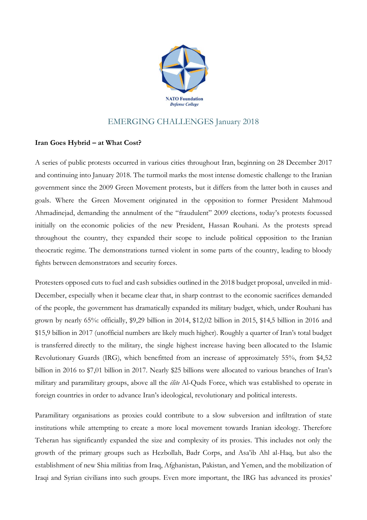

## EMERGING CHALLENGES January 2018

## **Iran Goes Hybrid – at What Cost?**

A series of public protests occurred in various cities throughout Iran, beginning on 28 December 2017 and continuing into January 2018. The turmoil marks the most intense domestic challenge to the Iranian government since the 2009 Green Movement protests, but it differs from the latter both in causes and goals. Where the Green Movement originated in the opposition to former President Mahmoud Ahmadinejad, demanding the annulment of the "fraudulent" 2009 elections, today's protests focussed initially on the economic policies of the new President, Hassan Rouhani. As the protests spread throughout the country, they expanded their scope to include political opposition to the Iranian theocratic regime. The demonstrations turned violent in some parts of the country, leading to bloody fights between demonstrators and security forces.

Protesters opposed cuts to fuel and cash subsidies outlined in the 2018 budget proposal, unveiled in mid-December, especially when it became clear that, in sharp contrast to the economic sacrifices demanded of the people, the government has dramatically expanded its military budget, which, under Rouhani has grown by nearly 65%: officially, \$9,29 billion in 2014, \$12,02 billion in 2015, \$14,5 billion in 2016 and \$15,9 billion in 2017 (unofficial numbers are likely much higher). Roughly a quarter of Iran's total budget is transferred directly to the military, the single highest increase having been allocated to the Islamic Revolutionary Guards (IRG), which benefitted from an increase of approximately 55%, from \$4,52 billion in 2016 to \$7,01 billion in 2017. Nearly \$25 billions were allocated to various branches of Iran's military and paramilitary groups, above all the *élite* Al-Quds Force, which was established to operate in foreign countries in order to advance Iran's ideological, revolutionary and political interests.

Paramilitary organisations as proxies could contribute to a slow subversion and infiltration of state institutions while attempting to create a more local movement towards Iranian ideology. Therefore Teheran has significantly expanded the size and complexity of its proxies. This includes not only the growth of the primary groups such as Hezbollah, Badr Corps, and Asa'ib Ahl al-Haq, but also the establishment of new Shia militias from Iraq, Afghanistan, Pakistan, and Yemen, and the mobilization of Iraqi and Syrian civilians into such groups. Even more important, the IRG has advanced its proxies'